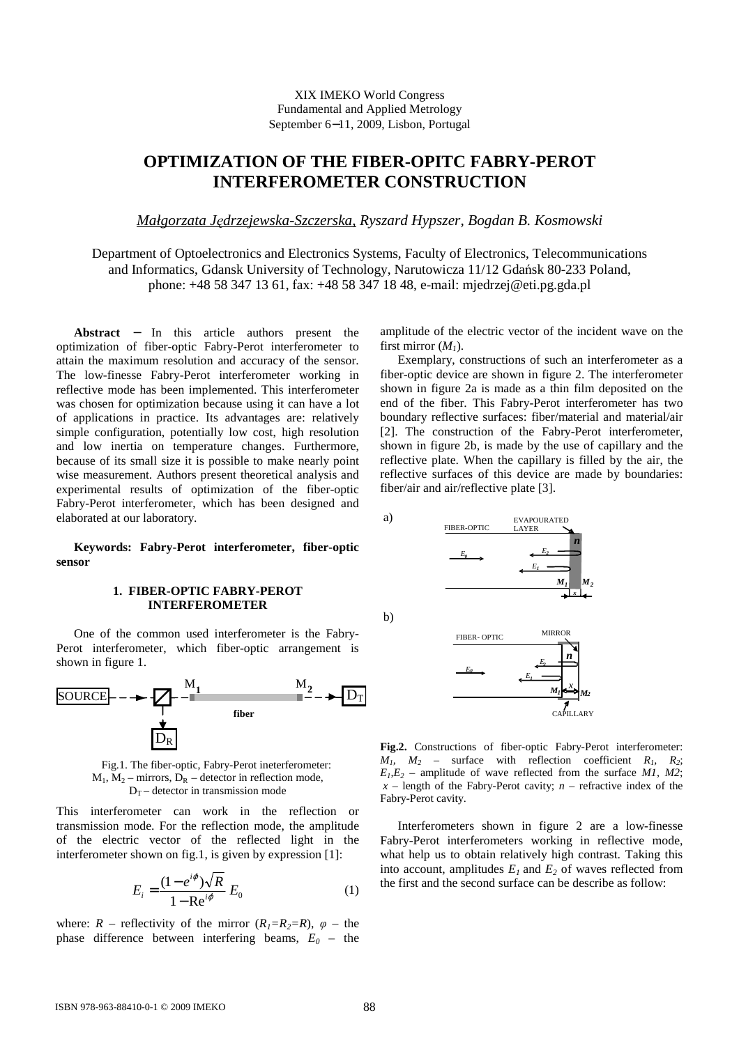## XIX IMEKO World Congress Fundamental and Applied Metrology September 6−11, 2009, Lisbon, Portugal

# **OPTIMIZATION OF THE FIBER-OPITC FABRY-PEROT INTERFEROMETER CONSTRUCTION**

*Małgorzata Jędrzejewska-Szczerska, Ryszard Hypszer, Bogdan B. Kosmowski* 

Department of Optoelectronics and Electronics Systems, Faculty of Electronics, Telecommunications and Informatics, Gdansk University of Technology, Narutowicza 11/12 Gdańsk 80-233 Poland, phone: +48 58 347 13 61, fax: +48 58 347 18 48, e-mail: mjedrzej@eti.pg.gda.pl

**Abstract** − In this article authors present the optimization of fiber-optic Fabry-Perot interferometer to attain the maximum resolution and accuracy of the sensor. The low-finesse Fabry-Perot interferometer working in reflective mode has been implemented. This interferometer was chosen for optimization because using it can have a lot of applications in practice. Its advantages are: relatively simple configuration, potentially low cost, high resolution and low inertia on temperature changes. Furthermore, because of its small size it is possible to make nearly point wise measurement. Authors present theoretical analysis and experimental results of optimization of the fiber-optic Fabry-Perot interferometer, which has been designed and elaborated at our laboratory.

**Keywords: Fabry-Perot interferometer, fiber-optic sensor** 

# **1. FIBER-OPTIC FABRY-PEROT INTERFEROMETER**

One of the common used interferometer is the Fabry-Perot interferometer, which fiber-optic arrangement is shown in figure 1.



Fig.1. The fiber-optic, Fabry-Perot ineterferometer:  $M_1$ ,  $M_2$  – mirrors,  $D_R$  – detector in reflection mode,  $D_T$  – detector in transmission mode

This interferometer can work in the reflection or transmission mode. For the reflection mode, the amplitude of the electric vector of the reflected light in the interferometer shown on fig.1, is given by expression [1]:

$$
E_i = \frac{(1 - e^{i\varphi})\sqrt{R}}{1 - \text{Re}^{i\varphi}} E_0 \tag{1}
$$

where:  $R$  – reflectivity of the mirror  $(R_1 = R_2 = R)$ ,  $\varphi$  – the phase difference between interfering beams, *E<sup>0</sup>* – the amplitude of the electric vector of the incident wave on the first mirror  $(M<sub>1</sub>)$ .

Exemplary, constructions of such an interferometer as a fiber-optic device are shown in figure 2. The interferometer shown in figure 2a is made as a thin film deposited on the end of the fiber. This Fabry-Perot interferometer has two boundary reflective surfaces: fiber/material and material/air [2]. The construction of the Fabry-Perot interferometer, shown in figure 2b, is made by the use of capillary and the reflective plate. When the capillary is filled by the air, the reflective surfaces of this device are made by boundaries: fiber/air and air/reflective plate [3].





a)



**Fig.2.** Constructions of fiber-optic Fabry-Perot interferometer:  $M_1$ ,  $M_2$  – surface with reflection coefficient  $R_1$ ,  $R_2$ ;  $E_1, E_2$  – amplitude of wave reflected from the surface *M1, M2*;  $x$  – length of the Fabry-Perot cavity;  $n$  – refractive index of the Fabry-Perot cavity.

Interferometers shown in figure 2 are a low-finesse Fabry-Perot interferometers working in reflective mode, what help us to obtain relatively high contrast. Taking this into account, amplitudes  $E_l$  and  $E_2$  of waves reflected from the first and the second surface can be describe as follow: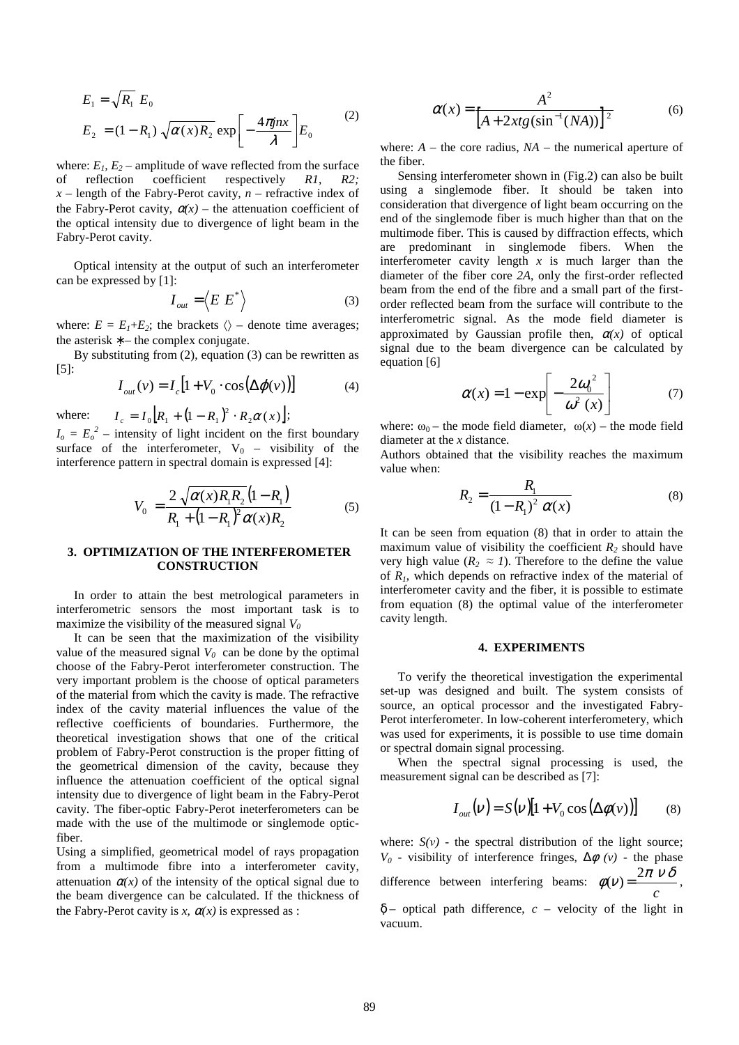$$
E_1 = \sqrt{R_1} E_0
$$
  
\n
$$
E_2 = (1 - R_1) \sqrt{\alpha(x) R_2} \exp\left[-\frac{4\pi j n x}{\lambda}\right] E_0
$$
 (2)

where:  $E_1$ ,  $E_2$  – amplitude of wave reflected from the surface of reflection coefficient respectively *R1*, *R2;*   $x$  – length of the Fabry-Perot cavity,  $n$  – refractive index of the Fabry-Perot cavity,  $\alpha(x)$  – the attenuation coefficient of the optical intensity due to divergence of light beam in the Fabry-Perot cavity.

Optical intensity at the output of such an interferometer can be expressed by [1]:

$$
I_{out} = \langle E E^* \rangle \tag{3}
$$

where:  $E = E_1 + E_2$ ; the brackets  $\langle \rangle$  – denote time averages; the asterisk  $* -$  the complex conjugate.

By substituting from (2), equation (3) can be rewritten as [5]:

$$
I_{out}(v) = I_c [1 + V_0 \cdot \cos(\Delta \varphi(v))]
$$
 (4)

where:  $I_c = I_0 [R_1 + (1 - R_1)^2 \cdot R_2 \alpha(x)]$ ;

 $I_o = E_o^2$  – intensity of light incident on the first boundary surface of the interferometer,  $V_0$  – visibility of the interference pattern in spectral domain is expressed [4]:

$$
V_0 = \frac{2\sqrt{\alpha(x)R_1R_2}(1 - R_1)}{R_1 + (1 - R_1)^2 \alpha(x)R_2}
$$
(5)

#### **3. OPTIMIZATION OF THE INTERFEROMETER CONSTRUCTION**

In order to attain the best metrological parameters in interferometric sensors the most important task is to maximize the visibility of the measured signal *V<sup>0</sup>*

It can be seen that the maximization of the visibility value of the measured signal  $V_0$  can be done by the optimal choose of the Fabry-Perot interferometer construction. The very important problem is the choose of optical parameters of the material from which the cavity is made. The refractive index of the cavity material influences the value of the reflective coefficients of boundaries. Furthermore, the theoretical investigation shows that one of the critical problem of Fabry-Perot construction is the proper fitting of the geometrical dimension of the cavity, because they influence the attenuation coefficient of the optical signal intensity due to divergence of light beam in the Fabry-Perot cavity. The fiber-optic Fabry-Perot ineterferometers can be made with the use of the multimode or singlemode opticfiber.

Using a simplified, geometrical model of rays propagation from a multimode fibre into a interferometer cavity, attenuation  $\alpha(x)$  of the intensity of the optical signal due to the beam divergence can be calculated. If the thickness of the Fabry-Perot cavity is *x*,  $\alpha(x)$  is expressed as :

$$
\alpha(x) = \frac{A^2}{\left[A + 2xtg(\sin^{-1}(NA))\right]^2}
$$
(6)

where:  $A$  – the core radius,  $NA$  – the numerical aperture of the fiber.

Sensing interferometer shown in (Fig.2) can also be built using a singlemode fiber. It should be taken into consideration that divergence of light beam occurring on the end of the singlemode fiber is much higher than that on the multimode fiber. This is caused by diffraction effects, which are predominant in singlemode fibers. When the interferometer cavity length  $x$  is much larger than the diameter of the fiber core *2A*, only the first-order reflected beam from the end of the fibre and a small part of the firstorder reflected beam from the surface will contribute to the interferometric signal. As the mode field diameter is approximated by Gaussian profile then,  $\alpha(x)$  of optical signal due to the beam divergence can be calculated by equation [6]

$$
\alpha(x) = 1 - \exp\left[-\frac{2\omega_0^2}{\omega^2(x)}\right] \tag{7}
$$

where:  $\omega_0$  – the mode field diameter,  $\omega(x)$  – the mode field diameter at the *x* distance.

Authors obtained that the visibility reaches the maximum value when:

$$
R_2 = \frac{R_1}{(1 - R_1)^2} \alpha(x)
$$
 (8)

It can be seen from equation (8) that in order to attain the maximum value of visibility the coefficient  $R_2$  should have very high value ( $R_2 \approx I$ ). Therefore to the define the value of *R1*, which depends on refractive index of the material of interferometer cavity and the fiber, it is possible to estimate from equation (8) the optimal value of the interferometer cavity length.

## **4. EXPERIMENTS**

To verify the theoretical investigation the experimental set-up was designed and built. The system consists of source, an optical processor and the investigated Fabry-Perot interferometer. In low-coherent interferometery, which was used for experiments, it is possible to use time domain or spectral domain signal processing.

When the spectral signal processing is used, the measurement signal can be described as [7]:

$$
I_{out}(v) = S(v)[1 + V_0 \cos(\Delta \phi(v))]
$$
 (8)

where:  $S(v)$  - the spectral distribution of the light source; *V*<sup>0</sup> - visibility of interference fringes,  $\Delta \phi$  (*v*) - the phase difference between interfering beams: *c* <sup>π</sup> <sup>ν</sup> δ  $\phi(v) = \frac{2\pi v \delta}{2\pi v}$ ,

δ – optical path difference, *c* – velocity of the light in vacuum.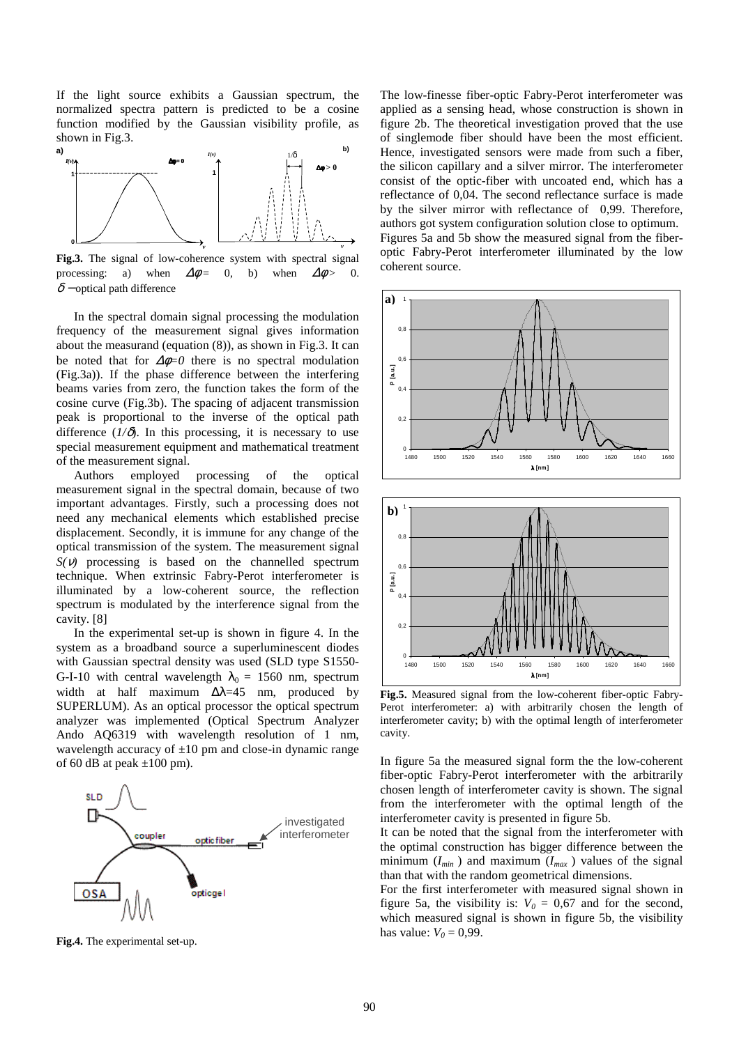If the light source exhibits a Gaussian spectrum, the normalized spectra pattern is predicted to be a cosine function modified by the Gaussian visibility profile, as shown in Fig.3.



**Fig.3.** The signal of low-coherence system with spectral signal processing: a) when  $\Delta\phi = 0$ , b) when  $\Delta\phi > 0$ .  $\delta$  – optical path difference

In the spectral domain signal processing the modulation frequency of the measurement signal gives information about the measurand (equation (8)), as shown in Fig.3. It can be noted that for  $\Delta \phi = 0$  there is no spectral modulation (Fig.3a)). If the phase difference between the interfering beams varies from zero, the function takes the form of the cosine curve (Fig.3b). The spacing of adjacent transmission peak is proportional to the inverse of the optical path difference  $(I/\delta)$ . In this processing, it is necessary to use special measurement equipment and mathematical treatment of the measurement signal.

Authors employed processing of the optical measurement signal in the spectral domain, because of two important advantages. Firstly, such a processing does not need any mechanical elements which established precise displacement. Secondly, it is immune for any change of the optical transmission of the system. The measurement signal  $S(V)$  processing is based on the channelled spectrum technique. When extrinsic Fabry-Perot interferometer is illuminated by a low-coherent source, the reflection spectrum is modulated by the interference signal from the cavity. [8]

In the experimental set-up is shown in figure 4. In the system as a broadband source a superluminescent diodes with Gaussian spectral density was used (SLD type S1550- G-I-10 with central wavelength  $\lambda_0 = 1560$  nm, spectrum width at half maximum  $\Delta\lambda=45$  nm, produced by SUPERLUM). As an optical processor the optical spectrum analyzer was implemented (Optical Spectrum Analyzer Ando AQ6319 with wavelength resolution of 1 nm, wavelength accuracy of  $\pm 10$  pm and close-in dynamic range of 60 dB at peak  $\pm 100$  pm).



**Fig.4.** The experimental set-up.

The low-finesse fiber-optic Fabry-Perot interferometer was applied as a sensing head, whose construction is shown in figure 2b. The theoretical investigation proved that the use of singlemode fiber should have been the most efficient. Hence, investigated sensors were made from such a fiber, the silicon capillary and a silver mirror. The interferometer consist of the optic-fiber with uncoated end, which has a reflectance of 0,04. The second reflectance surface is made by the silver mirror with reflectance of 0,99. Therefore, authors got system configuration solution close to optimum. Figures 5a and 5b show the measured signal from the fiberoptic Fabry-Perot interferometer illuminated by the low coherent source.



**Fig.5.** Measured signal from the low-coherent fiber-optic Fabry-Perot interferometer: a) with arbitrarily chosen the length of interferometer cavity; b) with the optimal length of interferometer cavity.

In figure 5a the measured signal form the the low-coherent fiber-optic Fabry-Perot interferometer with the arbitrarily chosen length of interferometer cavity is shown. The signal from the interferometer with the optimal length of the interferometer cavity is presented in figure 5b.

It can be noted that the signal from the interferometer with the optimal construction has bigger difference between the minimum  $(I_{min})$  and maximum  $(I_{max})$  values of the signal than that with the random geometrical dimensions.

For the first interferometer with measured signal shown in figure 5a, the visibility is:  $V_0 = 0.67$  and for the second, which measured signal is shown in figure 5b, the visibility has value:  $V_0 = 0.99$ .